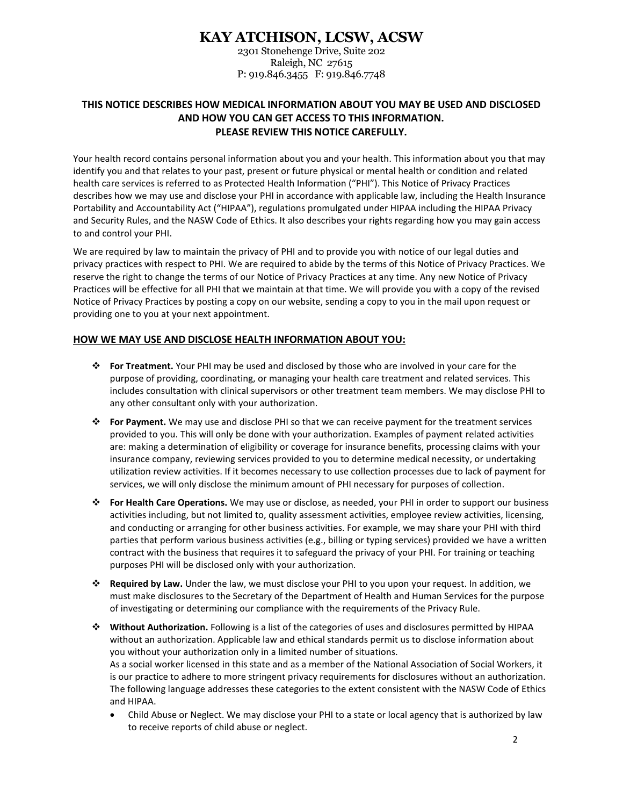# **KAY ATCHISON, LCSW, ACSW**

2301 Stonehenge Drive, Suite 202 Raleigh, NC 27615 P: 919.846.3455 F: 919.846.7748

## **THIS NOTICE DESCRIBES HOW MEDICAL INFORMATION ABOUT YOU MAY BE USED AND DISCLOSED AND HOW YOU CAN GET ACCESS TO THIS INFORMATION. PLEASE REVIEW THIS NOTICE CAREFULLY.**

Your health record contains personal information about you and your health. This information about you that may identify you and that relates to your past, present or future physical or mental health or condition and related health care services is referred to as Protected Health Information ("PHI"). This Notice of Privacy Practices describes how we may use and disclose your PHI in accordance with applicable law, including the Health Insurance Portability and Accountability Act ("HIPAA"), regulations promulgated under HIPAA including the HIPAA Privacy and Security Rules, and the NASW Code of Ethics. It also describes your rights regarding how you may gain access to and control your PHI.

We are required by law to maintain the privacy of PHI and to provide you with notice of our legal duties and privacy practices with respect to PHI. We are required to abide by the terms of this Notice of Privacy Practices. We reserve the right to change the terms of our Notice of Privacy Practices at any time. Any new Notice of Privacy Practices will be effective for all PHI that we maintain at that time. We will provide you with a copy of the revised Notice of Privacy Practices by posting a copy on our website, sending a copy to you in the mail upon request or providing one to you at your next appointment.

### **HOW WE MAY USE AND DISCLOSE HEALTH INFORMATION ABOUT YOU:**

- **For Treatment.** Your PHI may be used and disclosed by those who are involved in your care for the purpose of providing, coordinating, or managing your health care treatment and related services. This includes consultation with clinical supervisors or other treatment team members. We may disclose PHI to any other consultant only with your authorization.
- **For Payment.** We may use and disclose PHI so that we can receive payment for the treatment services provided to you. This will only be done with your authorization. Examples of payment related activities are: making a determination of eligibility or coverage for insurance benefits, processing claims with your insurance company, reviewing services provided to you to determine medical necessity, or undertaking utilization review activities. If it becomes necessary to use collection processes due to lack of payment for services, we will only disclose the minimum amount of PHI necessary for purposes of collection.
- **For Health Care Operations.** We may use or disclose, as needed, your PHI in order to support our business activities including, but not limited to, quality assessment activities, employee review activities, licensing, and conducting or arranging for other business activities. For example, we may share your PHI with third parties that perform various business activities (e.g., billing or typing services) provided we have a written contract with the business that requires it to safeguard the privacy of your PHI. For training or teaching purposes PHI will be disclosed only with your authorization.
- **Required by Law.** Under the law, we must disclose your PHI to you upon your request. In addition, we must make disclosures to the Secretary of the Department of Health and Human Services for the purpose of investigating or determining our compliance with the requirements of the Privacy Rule.
- **Without Authorization.** Following is a list of the categories of uses and disclosures permitted by HIPAA without an authorization. Applicable law and ethical standards permit us to disclose information about you without your authorization only in a limited number of situations. As a social worker licensed in this state and as a member of the National Association of Social Workers, it is our practice to adhere to more stringent privacy requirements for disclosures without an authorization. The following language addresses these categories to the extent consistent with the NASW Code of Ethics and HIPAA.
	- Child Abuse or Neglect. We may disclose your PHI to a state or local agency that is authorized by law to receive reports of child abuse or neglect.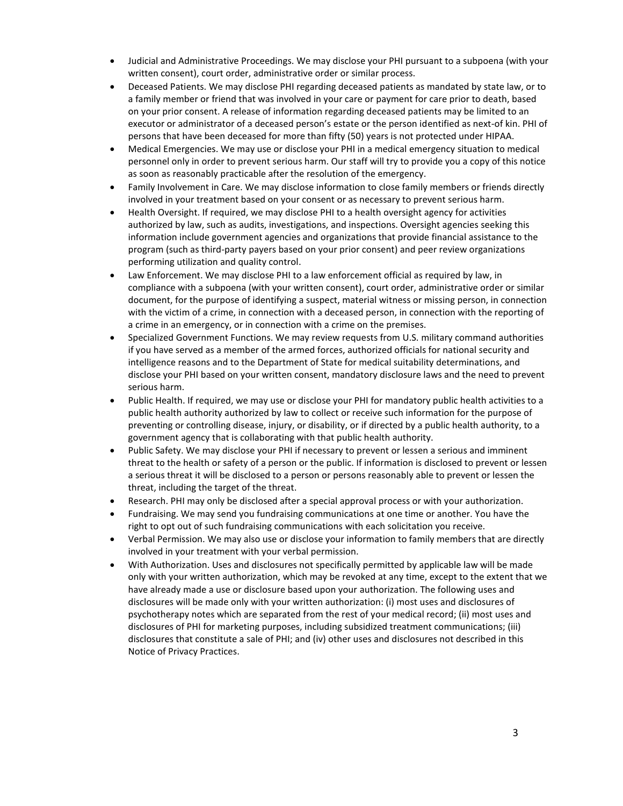- Judicial and Administrative Proceedings. We may disclose your PHI pursuant to a subpoena (with your written consent), court order, administrative order or similar process.
- Deceased Patients. We may disclose PHI regarding deceased patients as mandated by state law, or to a family member or friend that was involved in your care or payment for care prior to death, based on your prior consent. A release of information regarding deceased patients may be limited to an executor or administrator of a deceased person's estate or the person identified as next-of kin. PHI of persons that have been deceased for more than fifty (50) years is not protected under HIPAA.
- Medical Emergencies. We may use or disclose your PHI in a medical emergency situation to medical personnel only in order to prevent serious harm. Our staff will try to provide you a copy of this notice as soon as reasonably practicable after the resolution of the emergency.
- Family Involvement in Care. We may disclose information to close family members or friends directly involved in your treatment based on your consent or as necessary to prevent serious harm.
- Health Oversight. If required, we may disclose PHI to a health oversight agency for activities authorized by law, such as audits, investigations, and inspections. Oversight agencies seeking this information include government agencies and organizations that provide financial assistance to the program (such as third-party payers based on your prior consent) and peer review organizations performing utilization and quality control.
- Law Enforcement. We may disclose PHI to a law enforcement official as required by law, in compliance with a subpoena (with your written consent), court order, administrative order or similar document, for the purpose of identifying a suspect, material witness or missing person, in connection with the victim of a crime, in connection with a deceased person, in connection with the reporting of a crime in an emergency, or in connection with a crime on the premises.
- Specialized Government Functions. We may review requests from U.S. military command authorities if you have served as a member of the armed forces, authorized officials for national security and intelligence reasons and to the Department of State for medical suitability determinations, and disclose your PHI based on your written consent, mandatory disclosure laws and the need to prevent serious harm.
- Public Health. If required, we may use or disclose your PHI for mandatory public health activities to a public health authority authorized by law to collect or receive such information for the purpose of preventing or controlling disease, injury, or disability, or if directed by a public health authority, to a government agency that is collaborating with that public health authority.
- Public Safety. We may disclose your PHI if necessary to prevent or lessen a serious and imminent threat to the health or safety of a person or the public. If information is disclosed to prevent or lessen a serious threat it will be disclosed to a person or persons reasonably able to prevent or lessen the threat, including the target of the threat.
- Research. PHI may only be disclosed after a special approval process or with your authorization.
- Fundraising. We may send you fundraising communications at one time or another. You have the right to opt out of such fundraising communications with each solicitation you receive.
- Verbal Permission. We may also use or disclose your information to family members that are directly involved in your treatment with your verbal permission.
- With Authorization. Uses and disclosures not specifically permitted by applicable law will be made only with your written authorization, which may be revoked at any time, except to the extent that we have already made a use or disclosure based upon your authorization. The following uses and disclosures will be made only with your written authorization: (i) most uses and disclosures of psychotherapy notes which are separated from the rest of your medical record; (ii) most uses and disclosures of PHI for marketing purposes, including subsidized treatment communications; (iii) disclosures that constitute a sale of PHI; and (iv) other uses and disclosures not described in this Notice of Privacy Practices.